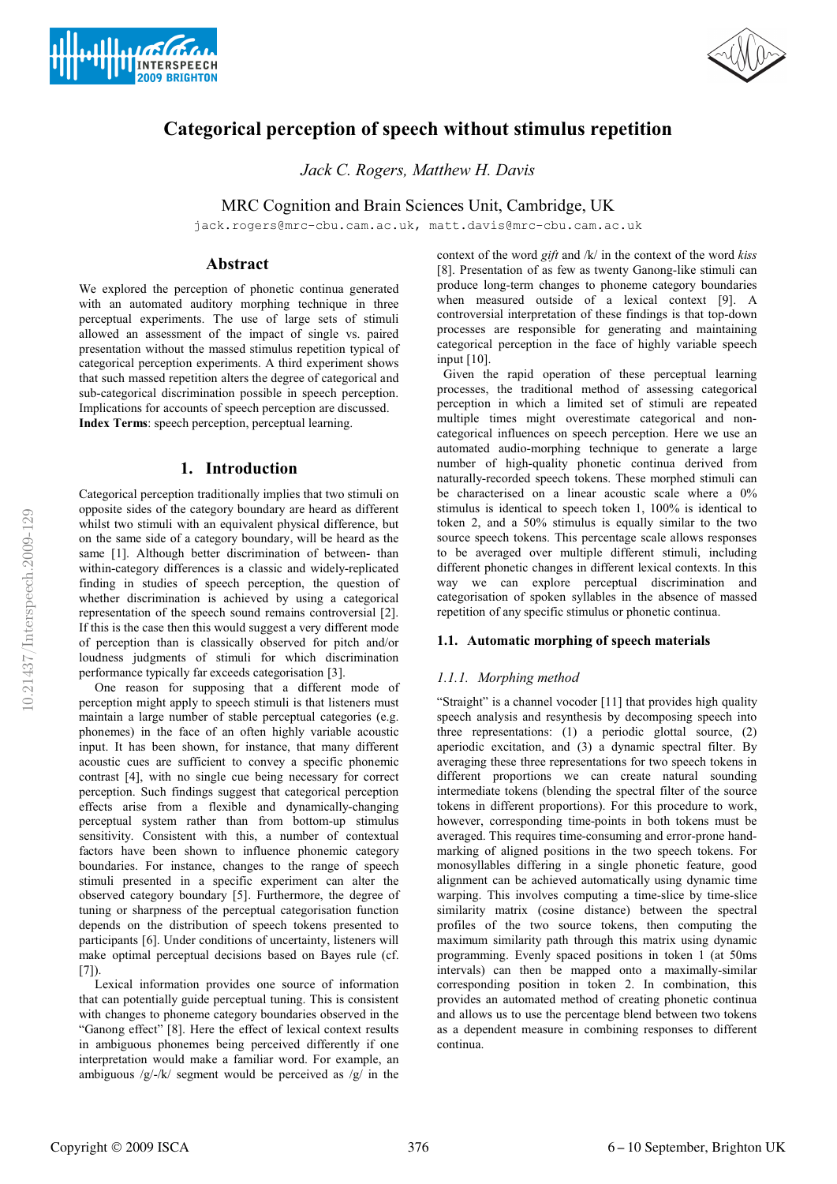



# **Categorical perception of speech without stimulus repetition**

*Jack C. Rogers, Matthew H. Davis*

MRC Cognition and Brain Sciences Unit, Cambridge, UK

jack.rogers@mrc-cbu.cam.ac.uk, matt.davis@mrc-cbu.cam.ac.uk

# **Abstract**

We explored the perception of phonetic continua generated with an automated auditory morphing technique in three perceptual experiments. The use of large sets of stimuli allowed an assessment of the impact of single vs. paired presentation without the massed stimulus repetition typical of categorical perception experiments. A third experiment shows that such massed repetition alters the degree of categorical and sub-categorical discrimination possible in speech perception. Implications for accounts of speech perception are discussed. **Index Terms**: speech perception, perceptual learning.

# **1. Introduction**

Categorical perception traditionally implies that two stimuli on opposite sides of the category boundary are heard as different whilst two stimuli with an equivalent physical difference, but on the same side of a category boundary, will be heard as the same [1]. Although better discrimination of between- than within-category differences is a classic and widely-replicated finding in studies of speech perception, the question of whether discrimination is achieved by using a categorical representation of the speech sound remains controversial [2]. If this is the case then this would suggest a very different mode of perception than is classically observed for pitch and/or loudness judgments of stimuli for which discrimination performance typically far exceeds categorisation [3].

 One reason for supposing that a different mode of perception might apply to speech stimuli is that listeners must maintain a large number of stable perceptual categories (e.g. phonemes) in the face of an often highly variable acoustic input. It has been shown, for instance, that many different acoustic cues are sufficient to convey a specific phonemic contrast [4], with no single cue being necessary for correct perception. Such findings suggest that categorical perception effects arise from a flexible and dynamically-changing perceptual system rather than from bottom-up stimulus sensitivity. Consistent with this, a number of contextual factors have been shown to influence phonemic category boundaries. For instance, changes to the range of speech stimuli presented in a specific experiment can alter the observed category boundary [5]. Furthermore, the degree of tuning or sharpness of the perceptual categorisation function depends on the distribution of speech tokens presented to participants [6]. Under conditions of uncertainty, listeners will make optimal perceptual decisions based on Bayes rule (cf.  $[7]$ ).

 Lexical information provides one source of information that can potentially guide perceptual tuning. This is consistent with changes to phoneme category boundaries observed in the "Ganong effect" [8]. Here the effect of lexical context results in ambiguous phonemes being perceived differently if one interpretation would make a familiar word. For example, an ambiguous  $/g/-/k/$  segment would be perceived as  $/g/$  in the

context of the word *gift* and /k/ in the context of the word *kiss* [8]. Presentation of as few as twenty Ganong-like stimuli can produce long-term changes to phoneme category boundaries when measured outside of a lexical context [9]. A controversial interpretation of these findings is that top-down processes are responsible for generating and maintaining categorical perception in the face of highly variable speech input [10].

 Given the rapid operation of these perceptual learning processes, the traditional method of assessing categorical perception in which a limited set of stimuli are repeated multiple times might overestimate categorical and noncategorical influences on speech perception. Here we use an automated audio-morphing technique to generate a large number of high-quality phonetic continua derived from naturally-recorded speech tokens. These morphed stimuli can be characterised on a linear acoustic scale where a 0% stimulus is identical to speech token 1, 100% is identical to token 2, and a 50% stimulus is equally similar to the two source speech tokens. This percentage scale allows responses to be averaged over multiple different stimuli, including different phonetic changes in different lexical contexts. In this way we can explore perceptual discrimination and categorisation of spoken syllables in the absence of massed repetition of any specific stimulus or phonetic continua.

# **1.1. Automatic morphing of speech materials**

# *1.1.1. Morphing method*

"Straight" is a channel vocoder [11] that provides high quality speech analysis and resynthesis by decomposing speech into three representations: (1) a periodic glottal source, (2) aperiodic excitation, and (3) a dynamic spectral filter. By averaging these three representations for two speech tokens in different proportions we can create natural sounding intermediate tokens (blending the spectral filter of the source tokens in different proportions). For this procedure to work, however, corresponding time-points in both tokens must be averaged. This requires time-consuming and error-prone handmarking of aligned positions in the two speech tokens. For monosyllables differing in a single phonetic feature, good alignment can be achieved automatically using dynamic time warping. This involves computing a time-slice by time-slice similarity matrix (cosine distance) between the spectral profiles of the two source tokens, then computing the maximum similarity path through this matrix using dynamic programming. Evenly spaced positions in token 1 (at 50ms intervals) can then be mapped onto a maximally-similar corresponding position in token 2. In combination, this provides an automated method of creating phonetic continua and allows us to use the percentage blend between two tokens as a dependent measure in combining responses to different continua.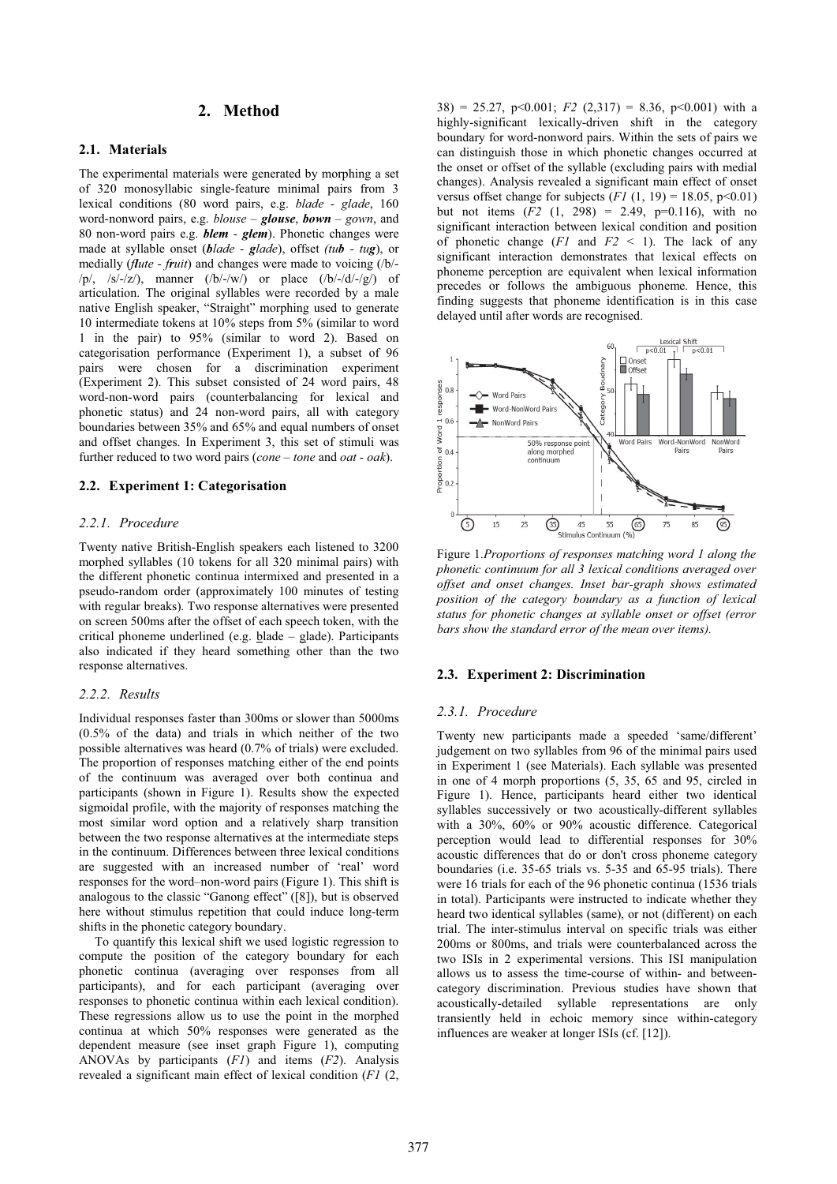# **2. Method**

# **2.1. Materials**

The experimental materials were generated by morphing a set of 320 monosyllabic single-feature minimal pairs from 3 lexical conditions (80 word pairs, e.g. *blade - glade*, 160 word-nonword pairs, e.g. *blouse* – *glouse*, *bown – gown*, and 80 non-word pairs e.g. *blem - glem*). Phonetic changes were made at syllable onset (*blade - glade*), offset *(tub - tug*), or medially (*flute - fruit*) and changes were made to voicing (/b/- /p/, /s/-/z/), manner  $((b/-/w))$  or place  $((b/-/d/-/g))$  of articulation. The original syllables were recorded by a male native English speaker, "Straight" morphing used to generate 10 intermediate tokens at 10% steps from 5% (similar to word 1 in the pair) to 95% (similar to word 2). Based on categorisation performance (Experiment 1), a subset of 96 pairs were chosen for a discrimination experiment (Experiment 2). This subset consisted of 24 word pairs, 48 word-non-word pairs (counterbalancing for lexical and phonetic status) and 24 non-word pairs, all with category boundaries between 35% and 65% and equal numbers of onset and offset changes. In Experiment 3, this set of stimuli was further reduced to two word pairs (*cone – tone* and *oat - oak*).

# **2.2. Experiment 1: Categorisation**

# *2.2.1. Procedure*

Twenty native British-English speakers each listened to 3200 morphed syllables (10 tokens for all 320 minimal pairs) with the different phonetic continua intermixed and presented in a pseudo-random order (approximately 100 minutes of testing with regular breaks). Two response alternatives were presented on screen 500ms after the offset of each speech token, with the critical phoneme underlined (e.g. blade – glade). Participants also indicated if they heard something other than the two response alternatives.

#### *2.2.2. Results*

Individual responses faster than 300ms or slower than 5000ms (0.5% of the data) and trials in which neither of the two possible alternatives was heard (0.7% of trials) were excluded. The proportion of responses matching either of the end points of the continuum was averaged over both continua and participants (shown in Figure 1). Results show the expected sigmoidal profile, with the majority of responses matching the most similar word option and a relatively sharp transition between the two response alternatives at the intermediate steps in the continuum. Differences between three lexical conditions are suggested with an increased number of 'real' word responses for the word–non-word pairs (Figure 1). This shift is analogous to the classic "Ganong effect" ([8]), but is observed here without stimulus repetition that could induce long-term shifts in the phonetic category boundary.

 To quantify this lexical shift we used logistic regression to compute the position of the category boundary for each phonetic continua (averaging over responses from all participants), and for each participant (averaging over responses to phonetic continua within each lexical condition). These regressions allow us to use the point in the morphed continua at which 50% responses were generated as the dependent measure (see inset graph Figure 1), computing ANOVAs by participants (*F1*) and items (*F2*). Analysis revealed a significant main effect of lexical condition (*F1* (2,

 $38$ ) = 25.27, p<0.001; *F2* (2.317) = 8.36, p<0.001) with a highly-significant lexically-driven shift in the category boundary for word-nonword pairs. Within the sets of pairs we can distinguish those in which phonetic changes occurred at the onset or offset of the syllable (excluding pairs with medial changes). Analysis revealed a significant main effect of onset versus offset change for subjects  $(F1(1, 19) = 18.05, p \le 0.01)$ but not items  $(F2 (1, 298) = 2.49, p=0.116)$ , with no significant interaction between lexical condition and position of phonetic change  $(F1$  and  $F2 \le 1$ ). The lack of any significant interaction demonstrates that lexical effects on phoneme perception are equivalent when lexical information precedes or follows the ambiguous phoneme. Hence, this finding suggests that phoneme identification is in this case delayed until after words are recognised.



*phonetic continuum for all 3 lexical conditions averaged over offset and onset changes. Inset bar-graph shows estimated position of the category boundary as a function of lexical status for phonetic changes at syllable onset or offset (error bars show the standard error of the mean over items).* 

#### **2.3. Experiment 2: Discrimination**

#### *2.3.1. Procedure*

Twenty new participants made a speeded 'same/different' judgement on two syllables from 96 of the minimal pairs used in Experiment 1 (see Materials). Each syllable was presented in one of 4 morph proportions (5, 35, 65 and 95, circled in Figure 1). Hence, participants heard either two identical syllables successively or two acoustically-different syllables with a 30%, 60% or 90% acoustic difference. Categorical perception would lead to differential responses for 30% acoustic differences that do or don't cross phoneme category boundaries (i.e. 35-65 trials vs. 5-35 and 65-95 trials). There were 16 trials for each of the 96 phonetic continua (1536 trials in total). Participants were instructed to indicate whether they heard two identical syllables (same), or not (different) on each trial. The inter-stimulus interval on specific trials was either 200ms or 800ms, and trials were counterbalanced across the two ISIs in 2 experimental versions. This ISI manipulation allows us to assess the time-course of within- and betweencategory discrimination. Previous studies have shown that acoustically-detailed syllable representations are only transiently held in echoic memory since within-category influences are weaker at longer ISIs (cf. [12]).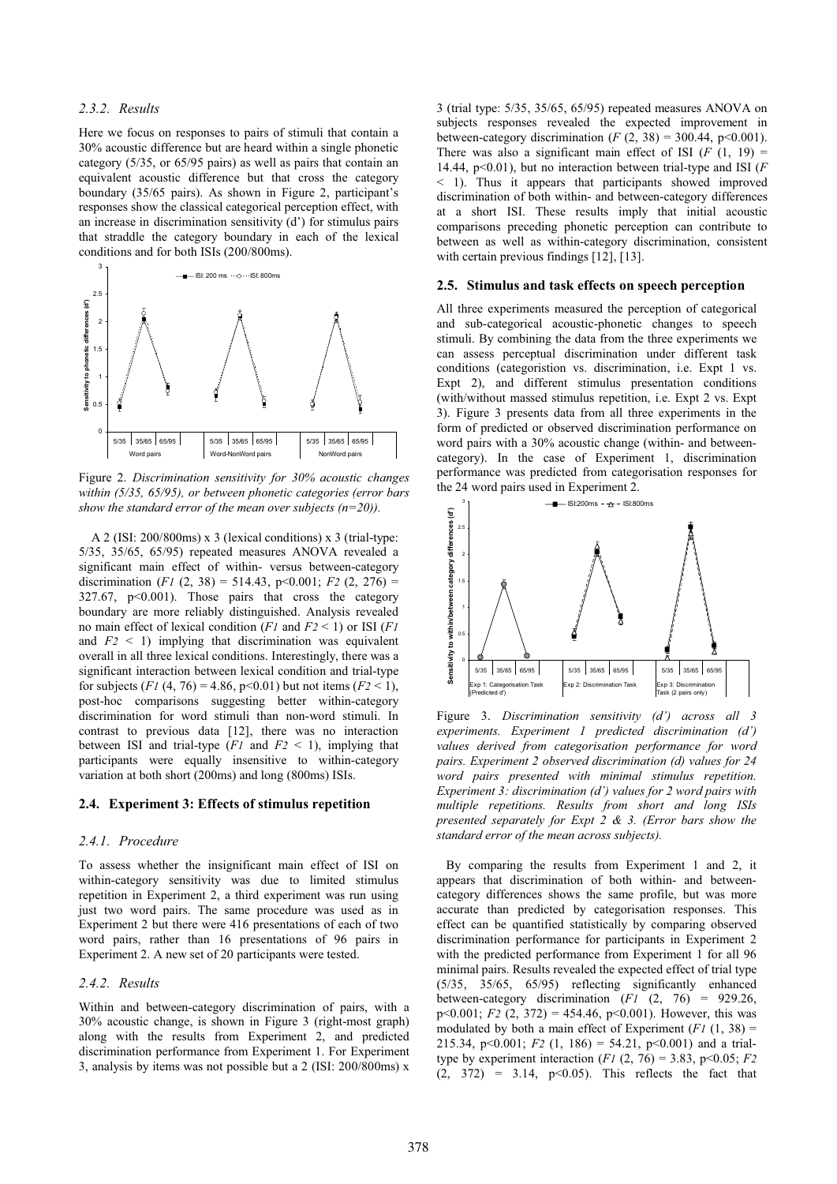## *2.3.2. Results*

Here we focus on responses to pairs of stimuli that contain a 30% acoustic difference but are heard within a single phonetic category (5/35, or 65/95 pairs) as well as pairs that contain an equivalent acoustic difference but that cross the category boundary (35/65 pairs). As shown in Figure 2, participant's responses show the classical categorical perception effect, with an increase in discrimination sensitivity (d') for stimulus pairs that straddle the category boundary in each of the lexical conditions and for both ISIs (200/800ms).



Figure 2. *Discrimination sensitivity for 30% acoustic changes within (5/35, 65/95), or between phonetic categories (error bars show the standard error of the mean over subjects (n=20)).*

 A 2 (ISI: 200/800ms) x 3 (lexical conditions) x 3 (trial-type: 5/35, 35/65, 65/95) repeated measures ANOVA revealed a significant main effect of within- versus between-category discrimination  $(F1 (2, 38) = 514.43, p<0.001; F2 (2, 276) =$ 327.67, p<0.001). Those pairs that cross the category boundary are more reliably distinguished. Analysis revealed no main effect of lexical condition (*F1* and *F2* < 1) or ISI (*F1* and  $F2 \leq 1$ ) implying that discrimination was equivalent overall in all three lexical conditions. Interestingly, there was a significant interaction between lexical condition and trial-type for subjects  $(F1 (4, 76) = 4.86, p < 0.01)$  but not items  $(F2 < 1)$ , post-hoc comparisons suggesting better within-category discrimination for word stimuli than non-word stimuli. In contrast to previous data [12], there was no interaction between ISI and trial-type  $(F1$  and  $F2 \le 1$ ), implying that participants were equally insensitive to within-category variation at both short (200ms) and long (800ms) ISIs.

#### **2.4. Experiment 3: Effects of stimulus repetition**

## *2.4.1. Procedure*

To assess whether the insignificant main effect of ISI on within-category sensitivity was due to limited stimulus repetition in Experiment 2, a third experiment was run using just two word pairs. The same procedure was used as in Experiment 2 but there were 416 presentations of each of two word pairs, rather than 16 presentations of 96 pairs in Experiment 2. A new set of 20 participants were tested.

# *2.4.2. Results*

Within and between-category discrimination of pairs, with a 30% acoustic change, is shown in Figure 3 (right-most graph) along with the results from Experiment 2, and predicted discrimination performance from Experiment 1. For Experiment 3, analysis by items was not possible but a 2 (ISI: 200/800ms) x

3 (trial type: 5/35, 35/65, 65/95) repeated measures ANOVA on subjects responses revealed the expected improvement in between-category discrimination  $(F(2, 38) = 300.44, p<0.001)$ . There was also a significant main effect of ISI  $(F (1, 19)) =$ 14.44, p<0.01), but no interaction between trial-type and ISI (*F* < 1). Thus it appears that participants showed improved discrimination of both within- and between-category differences at a short ISI. These results imply that initial acoustic comparisons preceding phonetic perception can contribute to between as well as within-category discrimination, consistent with certain previous findings [12], [13].

#### **2.5. Stimulus and task effects on speech perception**

All three experiments measured the perception of categorical and sub-categorical acoustic-phonetic changes to speech stimuli. By combining the data from the three experiments we can assess perceptual discrimination under different task conditions (categoristion vs. discrimination, i.e. Expt 1 vs. Expt 2), and different stimulus presentation conditions (with/without massed stimulus repetition, i.e. Expt 2 vs. Expt 3). Figure 3 presents data from all three experiments in the form of predicted or observed discrimination performance on word pairs with a 30% acoustic change (within- and betweencategory). In the case of Experiment 1, discrimination performance was predicted from categorisation responses for the 24 word pairs used in Experiment 2.



Figure 3. *Discrimination sensitivity (d') across all 3 experiments. Experiment 1 predicted discrimination (d') values derived from categorisation performance for word pairs. Experiment 2 observed discrimination (d) values for 24 word pairs presented with minimal stimulus repetition. Experiment 3: discrimination (d') values for 2 word pairs with multiple repetitions. Results from short and long ISIs presented separately for Expt 2 & 3. (Error bars show the standard error of the mean across subjects).* 

 By comparing the results from Experiment 1 and 2, it appears that discrimination of both within- and betweencategory differences shows the same profile, but was more accurate than predicted by categorisation responses. This effect can be quantified statistically by comparing observed discrimination performance for participants in Experiment 2 with the predicted performance from Experiment 1 for all 96 minimal pairs. Results revealed the expected effect of trial type (5/35, 35/65, 65/95) reflecting significantly enhanced between-category discrimination  $(F1 (2, 76) = 929.26$ , p<0.001;  $F2$  (2, 372) = 454.46, p<0.001). However, this was modulated by both a main effect of Experiment  $(F1 (1, 38))$ 215.34, p $\leq 0.001$ ; *F2* (1, 186) = 54.21, p $\leq 0.001$ ) and a trialtype by experiment interaction  $(F1 (2, 76) = 3.83, p < 0.05; F2$  $(2, 372) = 3.14, p < 0.05$ . This reflects the fact that